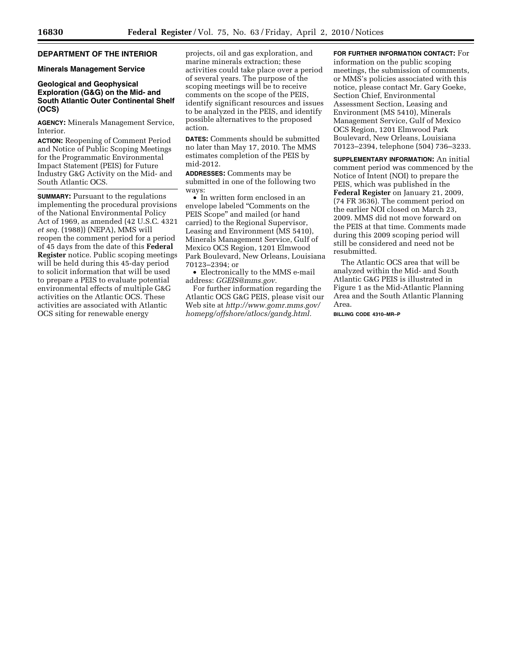# **DEPARTMENT OF THE INTERIOR**

### **Minerals Management Service**

# **Geological and Geophysical Exploration (G&G) on the Mid- and South Atlantic Outer Continental Shelf (OCS)**

**AGENCY:** Minerals Management Service, Interior.

**ACTION:** Reopening of Comment Period and Notice of Public Scoping Meetings for the Programmatic Environmental Impact Statement (PEIS) for Future Industry G&G Activity on the Mid- and South Atlantic OCS.

**SUMMARY:** Pursuant to the regulations implementing the procedural provisions of the National Environmental Policy Act of 1969, as amended (42 U.S.C. 4321 *et seq.* (1988)) (NEPA), MMS will reopen the comment period for a period of 45 days from the date of this **Federal Register** notice. Public scoping meetings will be held during this 45-day period to solicit information that will be used to prepare a PEIS to evaluate potential environmental effects of multiple G&G activities on the Atlantic OCS. These activities are associated with Atlantic OCS siting for renewable energy

projects, oil and gas exploration, and marine minerals extraction; these activities could take place over a period of several years. The purpose of the scoping meetings will be to receive comments on the scope of the PEIS, identify significant resources and issues to be analyzed in the PEIS, and identify possible alternatives to the proposed action.

**DATES:** Comments should be submitted no later than May 17, 2010. The MMS estimates completion of the PEIS by mid-2012.

**ADDRESSES:** Comments may be submitted in one of the following two ways:

• In written form enclosed in an envelope labeled ''Comments on the PEIS Scope'' and mailed (or hand carried) to the Regional Supervisor, Leasing and Environment (MS 5410), Minerals Management Service, Gulf of Mexico OCS Region, 1201 Elmwood Park Boulevard, New Orleans, Louisiana 70123–2394; or

• Electronically to the MMS e-mail address: *GGEIS@mms.gov.* 

For further information regarding the Atlantic OCS G&G PEIS, please visit our Web site at *http://www.gomr.mms.gov/ homepg/offshore/atlocs/gandg.html.* 

**FOR FURTHER INFORMATION CONTACT:** For information on the public scoping meetings, the submission of comments, or MMS's policies associated with this notice, please contact Mr. Gary Goeke, Section Chief, Environmental Assessment Section, Leasing and Environment (MS 5410), Minerals Management Service, Gulf of Mexico OCS Region, 1201 Elmwood Park Boulevard, New Orleans, Louisiana 70123–2394, telephone (504) 736–3233.

**SUPPLEMENTARY INFORMATION:** An initial comment period was commenced by the Notice of Intent (NOI) to prepare the PEIS, which was published in the **Federal Register** on January 21, 2009, (74 FR 3636). The comment period on the earlier NOI closed on March 23, 2009. MMS did not move forward on the PEIS at that time. Comments made during this 2009 scoping period will still be considered and need not be resubmitted.

The Atlantic OCS area that will be analyzed within the Mid- and South Atlantic G&G PEIS is illustrated in Figure 1 as the Mid-Atlantic Planning Area and the South Atlantic Planning Area.

**BILLING CODE 4310–MR–P**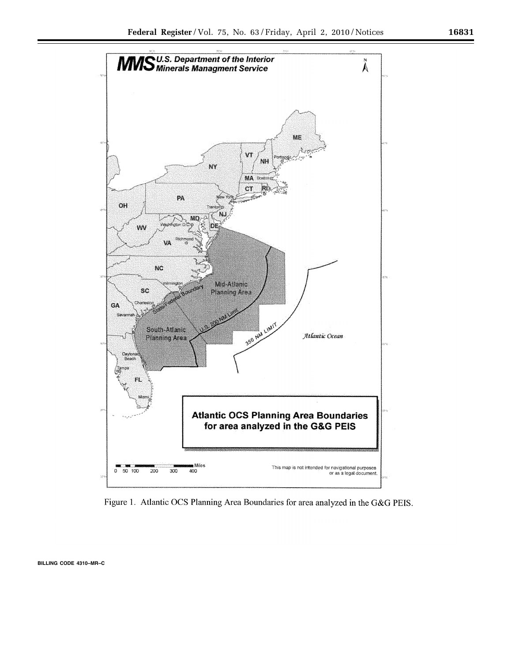

Figure 1. Atlantic OCS Planning Area Boundaries for area analyzed in the G&G PEIS.

**BILLING CODE 4310–MR–C**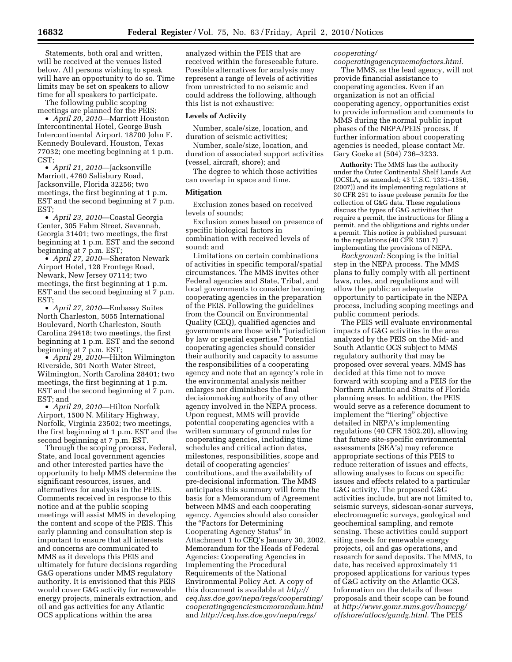Statements, both oral and written will be received at the venues listed below. All persons wishing to speak will have an opportunity to do so. Time limits may be set on speakers to allow time for all speakers to participate.

The following public scoping meetings are planned for the PEIS:

• *April 20, 2010*—Marriott Houston Intercontinental Hotel, George Bush Intercontinental Airport, 18700 John F. Kennedy Boulevard, Houston, Texas 77032; one meeting beginning at 1 p.m. CST;

• *April 21, 2010*—Jacksonville Marriott, 4760 Salisbury Road, Jacksonville, Florida 32256; two meetings, the first beginning at 1 p.m. EST and the second beginning at 7 p.m. EST;

• *April 23, 2010*—Coastal Georgia Center, 305 Fahm Street, Savannah, Georgia 31401; two meetings, the first beginning at 1 p.m. EST and the second beginning at 7 p.m. EST;

• *April 27, 2010*—Sheraton Newark Airport Hotel, 128 Frontage Road, Newark, New Jersey 07114; two meetings, the first beginning at 1 p.m. EST and the second beginning at 7 p.m. EST;

• *April 27, 2010*—Embassy Suites North Charleston, 5055 International Boulevard, North Charleston, South Carolina 29418; two meetings, the first beginning at 1 p.m. EST and the second beginning at 7 p.m. EST;

• *April 29, 2010*—Hilton Wilmington Riverside, 301 North Water Street, Wilmington, North Carolina 28401; two meetings, the first beginning at 1 p.m. EST and the second beginning at 7 p.m. EST; and

• *April 29, 2010*—Hilton Norfolk Airport, 1500 N. Military Highway, Norfolk, Virginia 23502; two meetings, the first beginning at 1 p.m. EST and the second beginning at 7 p.m. EST.

Through the scoping process, Federal, State, and local government agencies and other interested parties have the opportunity to help MMS determine the significant resources, issues, and alternatives for analysis in the PEIS. Comments received in response to this notice and at the public scoping meetings will assist MMS in developing the content and scope of the PEIS. This early planning and consultation step is important to ensure that all interests and concerns are communicated to MMS as it develops this PEIS and ultimately for future decisions regarding G&G operations under MMS regulatory authority. It is envisioned that this PEIS would cover G&G activity for renewable energy projects, minerals extraction, and oil and gas activities for any Atlantic OCS applications within the area

analyzed within the PEIS that are received within the foreseeable future. Possible alternatives for analysis may represent a range of levels of activities from unrestricted to no seismic and could address the following, although this list is not exhaustive:

#### **Levels of Activity**

Number, scale/size, location, and duration of seismic activities;

Number, scale/size, location, and duration of associated support activities (vessel, aircraft, shore); and

The degree to which those activities can overlap in space and time.

## **Mitigation**

Exclusion zones based on received levels of sounds;

Exclusion zones based on presence of specific biological factors in combination with received levels of sound; and

Limitations on certain combinations of activities in specific temporal/spatial circumstances. The MMS invites other Federal agencies and State, Tribal, and local governments to consider becoming cooperating agencies in the preparation of the PEIS. Following the guidelines from the Council on Environmental Quality (CEQ), qualified agencies and governments are those with ''jurisdiction by law or special expertise.'' Potential cooperating agencies should consider their authority and capacity to assume the responsibilities of a cooperating agency and note that an agency's role in the environmental analysis neither enlarges nor diminishes the final decisionmaking authority of any other agency involved in the NEPA process. Upon request, MMS will provide potential cooperating agencies with a written summary of ground rules for cooperating agencies, including time schedules and critical action dates, milestones, responsibilities, scope and detail of cooperating agencies' contributions, and the availability of pre-decisional information. The MMS anticipates this summary will form the basis for a Memorandum of Agreement between MMS and each cooperating agency. Agencies should also consider the ''Factors for Determining Cooperating Agency Status'' in Attachment 1 to CEQ's January 30, 2002, Memorandum for the Heads of Federal Agencies: Cooperating Agencies in Implementing the Procedural Requirements of the National Environmental Policy Act. A copy of this document is available at *http:// ceq.hss.doe.gov/nepa/regs/cooperating/ cooperatingagenciesmemorandum.html*  and *http://ceq.hss.doe.gov/nepa/regs/* 

# *cooperating/*

*cooperatingagencymemofactors.html.*  The MMS, as the lead agency, will not provide financial assistance to cooperating agencies. Even if an organization is not an official cooperating agency, opportunities exist to provide information and comments to MMS during the normal public input phases of the NEPA/PEIS process. If further information about cooperating agencies is needed, please contact Mr. Gary Goeke at (504) 736–3233.

**Authority:** The MMS has the authority under the Outer Continental Shelf Lands Act (OCSLA, as amended; 43 U.S.C. 1331–1356, (2007)) and its implementing regulations at 30 CFR 251 to issue prelease permits for the collection of G&G data. These regulations discuss the types of G&G activities that require a permit, the instructions for filing a permit, and the obligations and rights under a permit. This notice is published pursuant to the regulations (40 CFR 1501.7) implementing the provisions of NEPA.

*Background:* Scoping is the initial step in the NEPA process. The MMS plans to fully comply with all pertinent laws, rules, and regulations and will allow the public an adequate opportunity to participate in the NEPA process, including scoping meetings and public comment periods.

The PEIS will evaluate environmental impacts of G&G activities in the area analyzed by the PEIS on the Mid- and South Atlantic OCS subject to MMS regulatory authority that may be proposed over several years. MMS has decided at this time not to move forward with scoping and a PEIS for the Northern Atlantic and Straits of Florida planning areas. In addition, the PEIS would serve as a reference document to implement the "tiering" objective detailed in NEPA's implementing regulations (40 CFR 1502.20), allowing that future site-specific environmental assessments (SEA's) may reference appropriate sections of this PEIS to reduce reiteration of issues and effects, allowing analyses to focus on specific issues and effects related to a particular G&G activity. The proposed G&G activities include, but are not limited to, seismic surveys, sidescan-sonar surveys, electromagnetic surveys, geological and geochemical sampling, and remote sensing. These activities could support siting needs for renewable energy projects, oil and gas operations, and research for sand deposits. The MMS, to date, has received approximately 11 proposed applications for various types of G&G activity on the Atlantic OCS. Information on the details of these proposals and their scope can be found at *http://www.gomr.mms.gov/homepg/ offshore/atlocs/gandg.html.* The PEIS